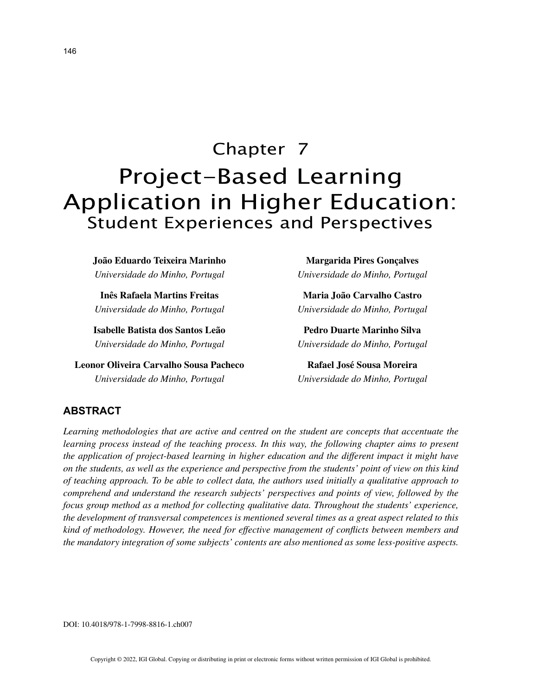# Chapter 7 Project-Based Learning Application in Higher Education: Student Experiences and Perspectives

**João Eduardo Teixeira Marinho** *Universidade do Minho, Portugal*

**Inês Rafaela Martins Freitas** *Universidade do Minho, Portugal*

**Isabelle Batista dos Santos Leão** *Universidade do Minho, Portugal*

**Leonor Oliveira Carvalho Sousa Pacheco** *Universidade do Minho, Portugal*

**Margarida Pires Gonçalves** *Universidade do Minho, Portugal*

**Maria João Carvalho Castro** *Universidade do Minho, Portugal*

**Pedro Duarte Marinho Silva** *Universidade do Minho, Portugal*

**Rafael José Sousa Moreira** *Universidade do Minho, Portugal*

# **ABSTRACT**

*Learning methodologies that are active and centred on the student are concepts that accentuate the learning process instead of the teaching process. In this way, the following chapter aims to present the application of project-based learning in higher education and the different impact it might have on the students, as well as the experience and perspective from the students' point of view on this kind of teaching approach. To be able to collect data, the authors used initially a qualitative approach to comprehend and understand the research subjects' perspectives and points of view, followed by the focus group method as a method for collecting qualitative data. Throughout the students' experience, the development of transversal competences is mentioned several times as a great aspect related to this kind of methodology. However, the need for effective management of conflicts between members and the mandatory integration of some subjects' contents are also mentioned as some less-positive aspects.*

DOI: 10.4018/978-1-7998-8816-1.ch007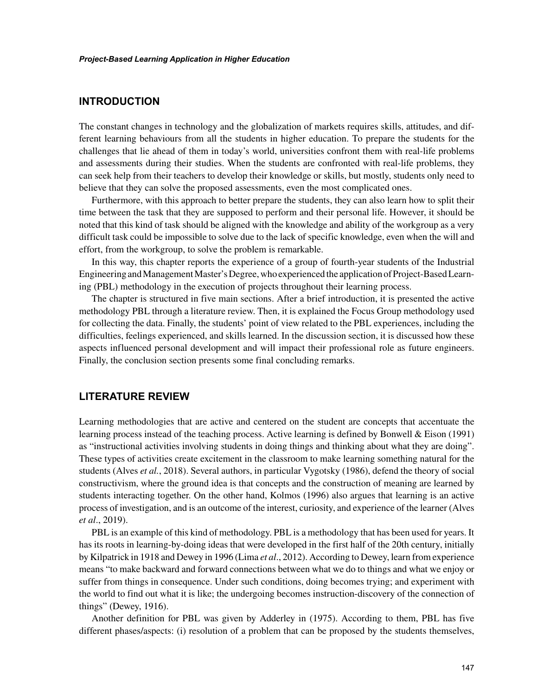# **INTRODUCTION**

The constant changes in technology and the globalization of markets requires skills, attitudes, and different learning behaviours from all the students in higher education. To prepare the students for the challenges that lie ahead of them in today's world, universities confront them with real-life problems and assessments during their studies. When the students are confronted with real-life problems, they can seek help from their teachers to develop their knowledge or skills, but mostly, students only need to believe that they can solve the proposed assessments, even the most complicated ones.

Furthermore, with this approach to better prepare the students, they can also learn how to split their time between the task that they are supposed to perform and their personal life. However, it should be noted that this kind of task should be aligned with the knowledge and ability of the workgroup as a very difficult task could be impossible to solve due to the lack of specific knowledge, even when the will and effort, from the workgroup, to solve the problem is remarkable.

In this way, this chapter reports the experience of a group of fourth-year students of the Industrial Engineering and Management Master's Degree, who experienced the application of Project-Based Learning (PBL) methodology in the execution of projects throughout their learning process.

The chapter is structured in five main sections. After a brief introduction, it is presented the active methodology PBL through a literature review. Then, it is explained the Focus Group methodology used for collecting the data. Finally, the students' point of view related to the PBL experiences, including the difficulties, feelings experienced, and skills learned. In the discussion section, it is discussed how these aspects influenced personal development and will impact their professional role as future engineers. Finally, the conclusion section presents some final concluding remarks.

# **LITERATURE REVIEW**

Learning methodologies that are active and centered on the student are concepts that accentuate the learning process instead of the teaching process. Active learning is defined by Bonwell & Eison (1991) as "instructional activities involving students in doing things and thinking about what they are doing". These types of activities create excitement in the classroom to make learning something natural for the students (Alves *et al.*, 2018). Several authors, in particular Vygotsky (1986), defend the theory of social constructivism, where the ground idea is that concepts and the construction of meaning are learned by students interacting together. On the other hand, Kolmos (1996) also argues that learning is an active process of investigation, and is an outcome of the interest, curiosity, and experience of the learner (Alves *et al*., 2019).

PBL is an example of this kind of methodology. PBL is a methodology that has been used for years. It has its roots in learning-by-doing ideas that were developed in the first half of the 20th century, initially by Kilpatrick in 1918 and Dewey in 1996 (Lima *et al*., 2012). According to Dewey, learn from experience means "to make backward and forward connections between what we do to things and what we enjoy or suffer from things in consequence. Under such conditions, doing becomes trying; and experiment with the world to find out what it is like; the undergoing becomes instruction-discovery of the connection of things" (Dewey, 1916).

Another definition for PBL was given by Adderley in (1975). According to them, PBL has five different phases/aspects: (i) resolution of a problem that can be proposed by the students themselves,